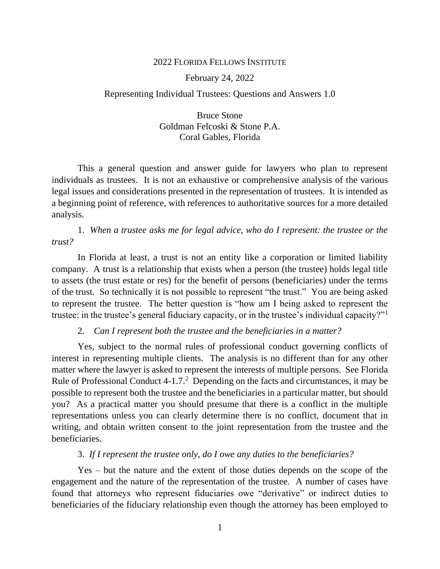#### 2022 FLORIDA FELLOWS INSTITUTE

#### February 24, 2022

#### Representing Individual Trustees: Questions and Answers 1.0

Bruce Stone Goldman Felcoski & Stone P.A. Coral Gables, Florida

This a general question and answer guide for lawyers who plan to represent individuals as trustees. It is not an exhaustive or comprehensive analysis of the various legal issues and considerations presented in the representation of trustees. It is intended as a beginning point of reference, with references to authoritative sources for a more detailed analysis.

1. *When a trustee asks me for legal advice, who do I represent: the trustee or the trust?* 

In Florida at least, a trust is not an entity like a corporation or limited liability company. A trust is a relationship that exists when a person (the trustee) holds legal title to assets (the trust estate or res) for the benefit of persons (beneficiaries) under the terms of the trust. So technically it is not possible to represent "the trust." You are being asked to represent the trustee. The better question is "how am I being asked to represent the trustee: in the trustee's general fiduciary capacity, or in the trustee's individual capacity?"<sup>1</sup>

#### 2. *Can I represent both the trustee and the beneficiaries in a matter?*

Yes, subject to the normal rules of professional conduct governing conflicts of interest in representing multiple clients. The analysis is no different than for any other matter where the lawyer is asked to represent the interests of multiple persons. See Florida Rule of Professional Conduct  $4-1.7$ .<sup>2</sup> Depending on the facts and circumstances, it may be possible to represent both the trustee and the beneficiaries in a particular matter, but should you? As a practical matter you should presume that there is a conflict in the multiple representations unless you can clearly determine there is no conflict, document that in writing, and obtain written consent to the joint representation from the trustee and the beneficiaries.

## 3. *If I represent the trustee only, do I owe any duties to the beneficiaries?*

Yes – but the nature and the extent of those duties depends on the scope of the engagement and the nature of the representation of the trustee. A number of cases have found that attorneys who represent fiduciaries owe "derivative" or indirect duties to beneficiaries of the fiduciary relationship even though the attorney has been employed to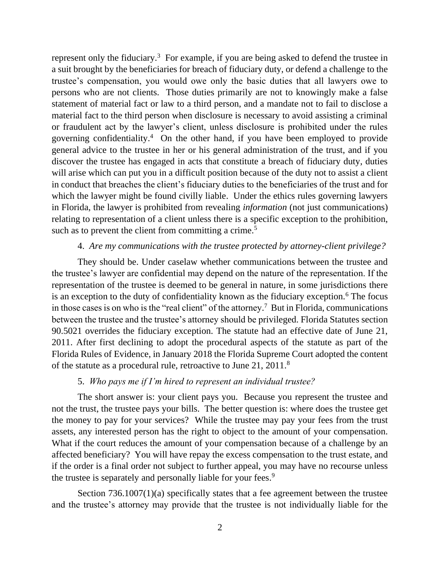represent only the fiduciary.<sup>3</sup> For example, if you are being asked to defend the trustee in a suit brought by the beneficiaries for breach of fiduciary duty, or defend a challenge to the trustee's compensation, you would owe only the basic duties that all lawyers owe to persons who are not clients. Those duties primarily are not to knowingly make a false statement of material fact or law to a third person, and a mandate not to fail to disclose a material fact to the third person when disclosure is necessary to avoid assisting a criminal or fraudulent act by the lawyer's client, unless disclosure is prohibited under the rules governing confidentiality.<sup>4</sup> On the other hand, if you have been employed to provide general advice to the trustee in her or his general administration of the trust, and if you discover the trustee has engaged in acts that constitute a breach of fiduciary duty, duties will arise which can put you in a difficult position because of the duty not to assist a client in conduct that breaches the client's fiduciary duties to the beneficiaries of the trust and for which the lawyer might be found civilly liable. Under the ethics rules governing lawyers in Florida, the lawyer is prohibited from revealing *information* (not just communications) relating to representation of a client unless there is a specific exception to the prohibition, such as to prevent the client from committing a crime.<sup>5</sup>

# 4. *Are my communications with the trustee protected by attorney-client privilege?*

They should be. Under caselaw whether communications between the trustee and the trustee's lawyer are confidential may depend on the nature of the representation. If the representation of the trustee is deemed to be general in nature, in some jurisdictions there is an exception to the duty of confidentiality known as the fiduciary exception.<sup>6</sup> The focus in those cases is on who is the "real client" of the attorney. <sup>7</sup> But in Florida, communications between the trustee and the trustee's attorney should be privileged. Florida Statutes section 90.5021 overrides the fiduciary exception. The statute had an effective date of June 21, 2011. After first declining to adopt the procedural aspects of the statute as part of the Florida Rules of Evidence, in January 2018 the Florida Supreme Court adopted the content of the statute as a procedural rule, retroactive to June 21, 2011.<sup>8</sup>

### 5. *Who pays me if I'm hired to represent an individual trustee?*

The short answer is: your client pays you. Because you represent the trustee and not the trust, the trustee pays your bills. The better question is: where does the trustee get the money to pay for your services? While the trustee may pay your fees from the trust assets, any interested person has the right to object to the amount of your compensation. What if the court reduces the amount of your compensation because of a challenge by an affected beneficiary? You will have repay the excess compensation to the trust estate, and if the order is a final order not subject to further appeal, you may have no recourse unless the trustee is separately and personally liable for your fees.<sup>9</sup>

Section 736.1007(1)(a) specifically states that a fee agreement between the trustee and the trustee's attorney may provide that the trustee is not individually liable for the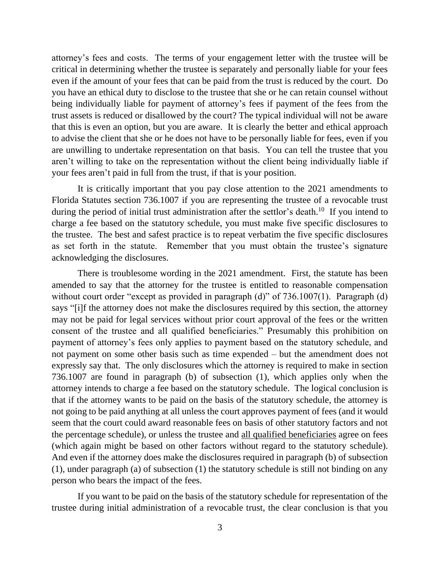attorney's fees and costs. The terms of your engagement letter with the trustee will be critical in determining whether the trustee is separately and personally liable for your fees even if the amount of your fees that can be paid from the trust is reduced by the court. Do you have an ethical duty to disclose to the trustee that she or he can retain counsel without being individually liable for payment of attorney's fees if payment of the fees from the trust assets is reduced or disallowed by the court? The typical individual will not be aware that this is even an option, but you are aware. It is clearly the better and ethical approach to advise the client that she or he does not have to be personally liable for fees, even if you are unwilling to undertake representation on that basis. You can tell the trustee that you aren't willing to take on the representation without the client being individually liable if your fees aren't paid in full from the trust, if that is your position.

It is critically important that you pay close attention to the 2021 amendments to Florida Statutes section 736.1007 if you are representing the trustee of a revocable trust during the period of initial trust administration after the settlor's death.<sup>10</sup> If you intend to charge a fee based on the statutory schedule, you must make five specific disclosures to the trustee. The best and safest practice is to repeat verbatim the five specific disclosures as set forth in the statute. Remember that you must obtain the trustee's signature acknowledging the disclosures.

There is troublesome wording in the 2021 amendment. First, the statute has been amended to say that the attorney for the trustee is entitled to reasonable compensation without court order "except as provided in paragraph (d)" of 736.1007(1). Paragraph (d) says "[i]f the attorney does not make the disclosures required by this section, the attorney may not be paid for legal services without prior court approval of the fees or the written consent of the trustee and all qualified beneficiaries." Presumably this prohibition on payment of attorney's fees only applies to payment based on the statutory schedule, and not payment on some other basis such as time expended – but the amendment does not expressly say that. The only disclosures which the attorney is required to make in section 736.1007 are found in paragraph (b) of subsection (1), which applies only when the attorney intends to charge a fee based on the statutory schedule. The logical conclusion is that if the attorney wants to be paid on the basis of the statutory schedule, the attorney is not going to be paid anything at all unless the court approves payment of fees (and it would seem that the court could award reasonable fees on basis of other statutory factors and not the percentage schedule), or unless the trustee and all qualified beneficiaries agree on fees (which again might be based on other factors without regard to the statutory schedule). And even if the attorney does make the disclosures required in paragraph (b) of subsection (1), under paragraph (a) of subsection (1) the statutory schedule is still not binding on any person who bears the impact of the fees.

If you want to be paid on the basis of the statutory schedule for representation of the trustee during initial administration of a revocable trust, the clear conclusion is that you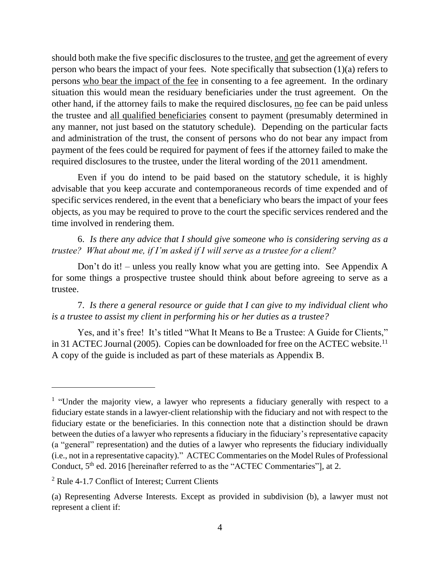should both make the five specific disclosures to the trustee, and get the agreement of every person who bears the impact of your fees. Note specifically that subsection (1)(a) refers to persons who bear the impact of the fee in consenting to a fee agreement. In the ordinary situation this would mean the residuary beneficiaries under the trust agreement. On the other hand, if the attorney fails to make the required disclosures, no fee can be paid unless the trustee and all qualified beneficiaries consent to payment (presumably determined in any manner, not just based on the statutory schedule). Depending on the particular facts and administration of the trust, the consent of persons who do not bear any impact from payment of the fees could be required for payment of fees if the attorney failed to make the required disclosures to the trustee, under the literal wording of the 2011 amendment.

Even if you do intend to be paid based on the statutory schedule, it is highly advisable that you keep accurate and contemporaneous records of time expended and of specific services rendered, in the event that a beneficiary who bears the impact of your fees objects, as you may be required to prove to the court the specific services rendered and the time involved in rendering them.

6. *Is there any advice that I should give someone who is considering serving as a trustee? What about me, if I'm asked if I will serve as a trustee for a client?*

Don't do it! – unless you really know what you are getting into. See Appendix A for some things a prospective trustee should think about before agreeing to serve as a trustee.

7. *Is there a general resource or guide that I can give to my individual client who is a trustee to assist my client in performing his or her duties as a trustee?*

Yes, and it's free! It's titled "What It Means to Be a Trustee: A Guide for Clients," in 31 ACTEC Journal (2005). Copies can be downloaded for free on the ACTEC website.<sup>11</sup> A copy of the guide is included as part of these materials as Appendix B.

<sup>&</sup>lt;sup>1</sup> "Under the majority view, a lawyer who represents a fiduciary generally with respect to a fiduciary estate stands in a lawyer-client relationship with the fiduciary and not with respect to the fiduciary estate or the beneficiaries. In this connection note that a distinction should be drawn between the duties of a lawyer who represents a fiduciary in the fiduciary's representative capacity (a "general" representation) and the duties of a lawyer who represents the fiduciary individually (i.e., not in a representative capacity)." ACTEC Commentaries on the Model Rules of Professional Conduct,  $5<sup>th</sup>$  ed. 2016 [hereinafter referred to as the "ACTEC Commentaries"], at 2.

<sup>&</sup>lt;sup>2</sup> Rule 4-1.7 Conflict of Interest; Current Clients

<sup>(</sup>a) Representing Adverse Interests. Except as provided in subdivision (b), a lawyer must not represent a client if: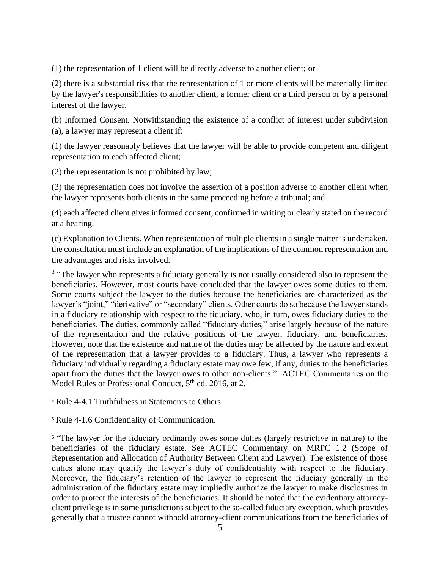(1) the representation of 1 client will be directly adverse to another client; or

(2) there is a substantial risk that the representation of 1 or more clients will be materially limited by the lawyer's responsibilities to another client, a former client or a third person or by a personal interest of the lawyer.

(b) Informed Consent. Notwithstanding the existence of a conflict of interest under subdivision (a), a lawyer may represent a client if:

(1) the lawyer reasonably believes that the lawyer will be able to provide competent and diligent representation to each affected client;

(2) the representation is not prohibited by law;

(3) the representation does not involve the assertion of a position adverse to another client when the lawyer represents both clients in the same proceeding before a tribunal; and

(4) each affected client gives informed consent, confirmed in writing or clearly stated on the record at a hearing.

(c) Explanation to Clients. When representation of multiple clients in a single matter is undertaken, the consultation must include an explanation of the implications of the common representation and the advantages and risks involved.

<sup>3</sup> "The lawyer who represents a fiduciary generally is not usually considered also to represent the beneficiaries. However, most courts have concluded that the lawyer owes some duties to them. Some courts subject the lawyer to the duties because the beneficiaries are characterized as the lawyer's "joint," "derivative" or "secondary" clients. Other courts do so because the lawyer stands in a fiduciary relationship with respect to the fiduciary, who, in turn, owes fiduciary duties to the beneficiaries. The duties, commonly called "fiduciary duties," arise largely because of the nature of the representation and the relative positions of the lawyer, fiduciary, and beneficiaries. However, note that the existence and nature of the duties may be affected by the nature and extent of the representation that a lawyer provides to a fiduciary. Thus, a lawyer who represents a fiduciary individually regarding a fiduciary estate may owe few, if any, duties to the beneficiaries apart from the duties that the lawyer owes to other non-clients." ACTEC Commentaries on the Model Rules of Professional Conduct, 5<sup>th</sup> ed. 2016, at 2.

<sup>4</sup> Rule 4-4.1 Truthfulness in Statements to Others.

<sup>5</sup> Rule 4-1.6 Confidentiality of Communication.

<sup>6</sup> "The lawyer for the fiduciary ordinarily owes some duties (largely restrictive in nature) to the beneficiaries of the fiduciary estate. See ACTEC Commentary on MRPC 1.2 (Scope of Representation and Allocation of Authority Between Client and Lawyer). The existence of those duties alone may qualify the lawyer's duty of confidentiality with respect to the fiduciary. Moreover, the fiduciary's retention of the lawyer to represent the fiduciary generally in the administration of the fiduciary estate may impliedly authorize the lawyer to make disclosures in order to protect the interests of the beneficiaries. It should be noted that the evidentiary attorneyclient privilege is in some jurisdictions subject to the so-called fiduciary exception, which provides generally that a trustee cannot withhold attorney-client communications from the beneficiaries of